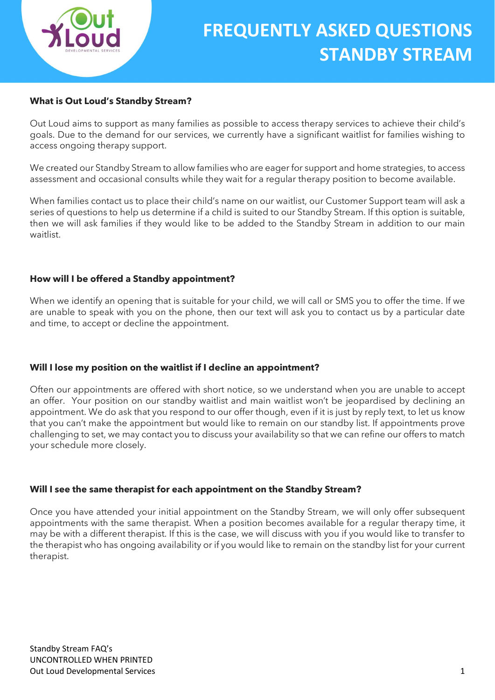

### What is Out Loud's Standby Stream?

Out Loud aims to support as many families as possible to access therapy services to achieve their child's goals. Due to the demand for our services, we currently have a significant waitlist for families wishing to access ongoing therapy support.

We created our Standby Stream to allow families who are eager for support and home strategies, to access assessment and occasional consults while they wait for a regular therapy position to become available.

When families contact us to place their child's name on our waitlist, our Customer Support team will ask a series of questions to help us determine if a child is suited to our Standby Stream. If this option is suitable, then we will ask families if they would like to be added to the Standby Stream in addition to our main waitlist.

#### How will I be offered a Standby appointment?

When we identify an opening that is suitable for your child, we will call or SMS you to offer the time. If we are unable to speak with you on the phone, then our text will ask you to contact us by a particular date and time, to accept or decline the appointment.

### Will I lose my position on the waitlist if I decline an appointment?

Often our appointments are offered with short notice, so we understand when you are unable to accept an offer. Your position on our standby waitlist and main waitlist won't be jeopardised by declining an appointment. We do ask that you respond to our offer though, even if it is just by reply text, to let us know that you can't make the appointment but would like to remain on our standby list. If appointments prove challenging to set, we may contact you to discuss your availability so that we can refine our offers to match your schedule more closely.

#### Will I see the same therapist for each appointment on the Standby Stream?

Once you have attended your initial appointment on the Standby Stream, we will only offer subsequent appointments with the same therapist. When a position becomes available for a regular therapy time, it may be with a different therapist. If this is the case, we will discuss with you if you would like to transfer to the therapist who has ongoing availability or if you would like to remain on the standby list for your current therapist.